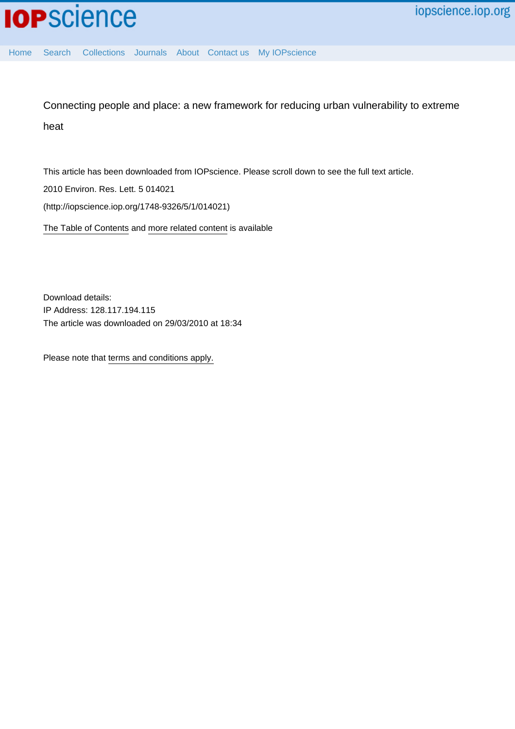Connecting people and place: a new framework for reducing urban vulnerability to extreme heat

This article has been downloaded from IOPscience. Please scroll down to see the full text article.

2010 Environ. Res. Lett. 5 014021

(http://iopscience.iop.org/1748-9326/5/1/014021)

[The Table of Contents](http://iopscience.iop.org/1748-9326/5/1) and [more related content](http://iopscience.iop.org/1748-9326/5/1/014021/related) is available

Download details: IP Address: 128.117.194.115 The article was downloaded on 29/03/2010 at 18:34

Please note that [terms and conditions apply.](http://www.iop.org/Terms_&_Conditions)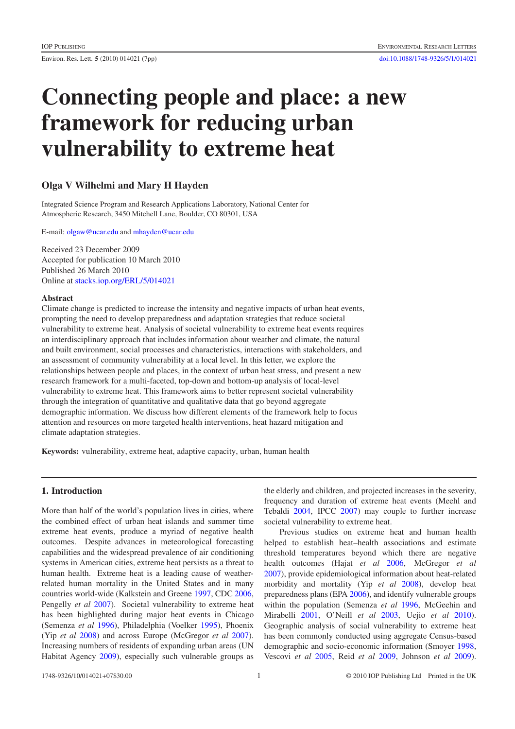# Connecting people and place: a new framework for reducing urban vulnerability to extreme heat

# Olga V Wilhelmi and Mary H Hayden

Integrated Science Program and Research Applications Laboratory, National Center for Atmospheric Research, 3450 Mitchell Lane, Boulder, CO 80301, USA

E-mail: [olgaw@ucar.edu](mailto:olgaw@ucar.edu) and [mhayden@ucar.edu](mailto:mhayden@ucar.edu)

Received 23 December 2009 Accepted for publication 10 March 2010 Published 26 March 2010 Online at [stacks.iop.org/ERL/5/014021](http://stacks.iop.org/ERL/5/014021)

#### Abstract

Climate change is predicted to increase the intensity and negative impacts of urban heat events, prompting the need to develop preparedness and adaptation strategies that reduce societal vulnerability to extreme heat. Analysis of societal vulnerability to extreme heat events requires an interdisciplinary approach that includes information about weather and climate, the natural and built environment, social processes and characteristics, interactions with stakeholders, and an assessment of community vulnerability at a local level. In this letter, we explore the relationships between people and places, in the context of urban heat stress, and present a new research framework for a multi-faceted, top-down and bottom-up analysis of local-level vulnerability to extreme heat. This framework aims to better represent societal vulnerability through the integration of quantitative and qualitative data that go beyond aggregate demographic information. We discuss how different elements of the framework help to focus attention and resources on more targeted health interventions, heat hazard mitigation and climate adaptation strategies.

Keywords: vulnerability, extreme heat, adaptive capacity, urban, human health

## 1. Introduction

More than half of the world's population lives in cities, where the combined effect of urban heat islands and summer time extreme heat events, produce a myriad of negative health outcomes. Despite advances in meteorological forecasting capabilities and the widespread prevalence of air conditioning systems in American cities, extreme heat persists as a threat to human health. Extreme heat is a leading cause of weatherrelated human mortality in the United States and in many countries world-wide (Kalkstein and Greene [1997,](#page-6-0) CDC [2006,](#page-6-1) Pengelly *et al* [2007\)](#page-7-0). Societal vulnerability to extreme heat has been highlighted during major heat events in Chicago (Semenza *et al* [1996\)](#page-7-1), Philadelphia (Voelker [1995\)](#page-7-2), Phoenix (Yip *et al* [2008\)](#page-7-3) and across Europe (McGregor *et al* [2007\)](#page-6-2). Increasing numbers of residents of expanding urban areas (UN Habitat Agency [2009\)](#page-7-4), especially such vulnerable groups as the elderly and children, and projected increases in the severity, frequency and duration of extreme heat events (Meehl and Tebaldi [2004,](#page-6-3) IPCC [2007\)](#page-6-4) may couple to further increase societal vulnerability to extreme heat.

Previous studies on extreme heat and human health helped to establish heat–health associations and estimate threshold temperatures beyond which there are negative health outcomes (Hajat *et al* [2006,](#page-6-5) McGregor *et al* [2007\)](#page-6-2), provide epidemiological information about heat-related morbidity and mortality (Yip *et al* [2008\)](#page-7-3), develop heat preparedness plans (EPA [2006\)](#page-6-6), and identify vulnerable groups within the population (Semenza *et al* [1996,](#page-7-1) McGeehin and Mirabelli [2001,](#page-6-7) O'Neill *et al* [2003,](#page-6-8) Uejio *et al* [2010\)](#page-7-5). Geographic analysis of social vulnerability to extreme heat has been commonly conducted using aggregate Census-based demographic and socio-economic information (Smoyer [1998,](#page-7-6) Vescovi *et al* [2005,](#page-7-7) Reid *et al* [2009,](#page-7-8) Johnson *et al* [2009\)](#page-6-9).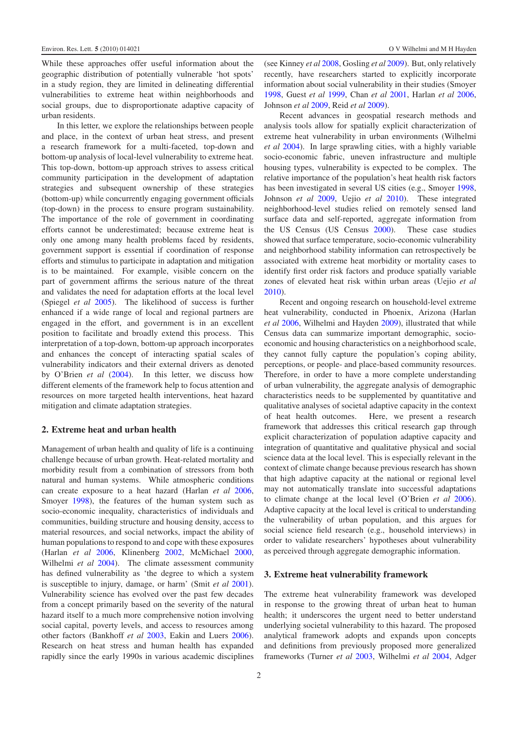While these approaches offer useful information about the geographic distribution of potentially vulnerable 'hot spots' in a study region, they are limited in delineating differential vulnerabilities to extreme heat within neighborhoods and social groups, due to disproportionate adaptive capacity of urban residents.

In this letter, we explore the relationships between people and place, in the context of urban heat stress, and present a research framework for a multi-faceted, top-down and bottom-up analysis of local-level vulnerability to extreme heat. This top-down, bottom-up approach strives to assess critical community participation in the development of adaptation strategies and subsequent ownership of these strategies (bottom-up) while concurrently engaging government officials (top-down) in the process to ensure program sustainability. The importance of the role of government in coordinating efforts cannot be underestimated; because extreme heat is only one among many health problems faced by residents, government support is essential if coordination of response efforts and stimulus to participate in adaptation and mitigation is to be maintained. For example, visible concern on the part of government affirms the serious nature of the threat and validates the need for adaptation efforts at the local level (Spiegel *et al* [2005\)](#page-7-9). The likelihood of success is further enhanced if a wide range of local and regional partners are engaged in the effort, and government is in an excellent position to facilitate and broadly extend this process. This interpretation of a top-down, bottom-up approach incorporates and enhances the concept of interacting spatial scales of vulnerability indicators and their external drivers as denoted by O'Brien *et al* [\(2004\)](#page-6-10). In this letter, we discuss how different elements of the framework help to focus attention and resources on more targeted health interventions, heat hazard mitigation and climate adaptation strategies.

#### 2. Extreme heat and urban health

Management of urban health and quality of life is a continuing challenge because of urban growth. Heat-related mortality and morbidity result from a combination of stressors from both natural and human systems. While atmospheric conditions can create exposure to a heat hazard (Harlan *et al* [2006,](#page-6-11) Smoyer [1998\)](#page-7-6), the features of the human system such as socio-economic inequality, characteristics of individuals and communities, building structure and housing density, access to material resources, and social networks, impact the ability of human populations to respond to and cope with these exposures (Harlan *et al* [2006,](#page-6-11) Klinenberg [2002,](#page-6-12) McMichael [2000,](#page-6-13) Wilhelmi *et al* [2004\)](#page-7-10). The climate assessment community has defined vulnerability as 'the degree to which a system is susceptible to injury, damage, or harm' (Smit *et al* [2001\)](#page-7-11). Vulnerability science has evolved over the past few decades from a concept primarily based on the severity of the natural hazard itself to a much more comprehensive notion involving social capital, poverty levels, and access to resources among other factors (Bankhoff *et al* [2003,](#page-6-14) Eakin and Luers [2006\)](#page-6-15). Research on heat stress and human health has expanded rapidly since the early 1990s in various academic disciplines

(see Kinney *et al* [2008,](#page-6-16) Gosling *et al* [2009\)](#page-6-17). But, only relatively recently, have researchers started to explicitly incorporate information about social vulnerability in their studies (Smoyer [1998,](#page-7-6) Guest *et al* [1999,](#page-6-18) Chan *et al* [2001,](#page-6-19) Harlan *et al* [2006,](#page-6-11) Johnson *et al* [2009,](#page-6-9) Reid *et al* [2009\)](#page-7-8).

Recent advances in geospatial research methods and analysis tools allow for spatially explicit characterization of extreme heat vulnerability in urban environments (Wilhelmi *et al* [2004\)](#page-7-10). In large sprawling cities, with a highly variable socio-economic fabric, uneven infrastructure and multiple housing types, vulnerability is expected to be complex. The relative importance of the population's heat health risk factors has been investigated in several US cities (e.g., Smoyer [1998,](#page-7-6) Johnson *et al* [2009,](#page-6-9) Uejio *et al* [2010\)](#page-7-5). These integrated neighborhood-level studies relied on remotely sensed land surface data and self-reported, aggregate information from the US Census (US Census [2000\)](#page-7-12). These case studies showed that surface temperature, socio-economic vulnerability and neighborhood stability information can retrospectively be associated with extreme heat morbidity or mortality cases to identify first order risk factors and produce spatially variable zones of elevated heat risk within urban areas (Uejio *et al* [2010\)](#page-7-5).

Recent and ongoing research on household-level extreme heat vulnerability, conducted in Phoenix, Arizona (Harlan *et al* [2006,](#page-6-11) Wilhelmi and Hayden [2009\)](#page-7-13), illustrated that while Census data can summarize important demographic, socioeconomic and housing characteristics on a neighborhood scale, they cannot fully capture the population's coping ability, perceptions, or people- and place-based community resources. Therefore, in order to have a more complete understanding of urban vulnerability, the aggregate analysis of demographic characteristics needs to be supplemented by quantitative and qualitative analyses of societal adaptive capacity in the context of heat health outcomes. Here, we present a research framework that addresses this critical research gap through explicit characterization of population adaptive capacity and integration of quantitative and qualitative physical and social science data at the local level. This is especially relevant in the context of climate change because previous research has shown that high adaptive capacity at the national or regional level may not automatically translate into successful adaptations to climate change at the local level (O'Brien *et al* [2006\)](#page-6-20). Adaptive capacity at the local level is critical to understanding the vulnerability of urban population, and this argues for social science field research (e.g., household interviews) in order to validate researchers' hypotheses about vulnerability as perceived through aggregate demographic information.

### 3. Extreme heat vulnerability framework

The extreme heat vulnerability framework was developed in response to the growing threat of urban heat to human health; it underscores the urgent need to better understand underlying societal vulnerability to this hazard. The proposed analytical framework adopts and expands upon concepts and definitions from previously proposed more generalized frameworks (Turner *et al* [2003,](#page-7-14) Wilhelmi *et al* [2004,](#page-7-10) Adger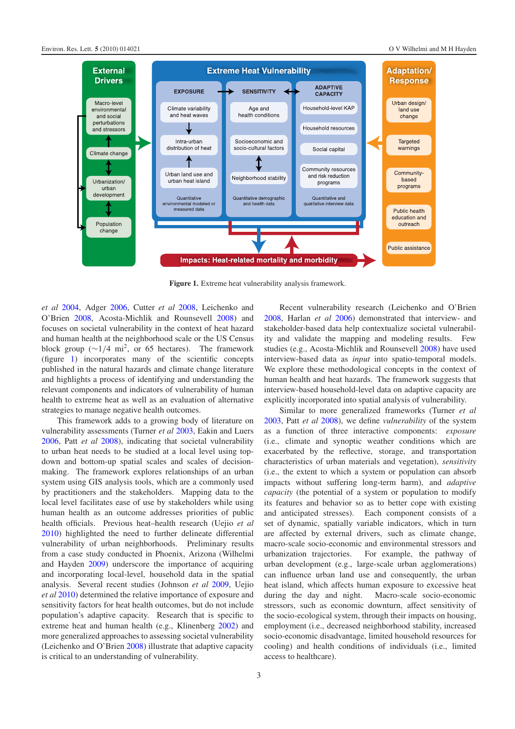<span id="page-3-0"></span>

Figure 1. Extreme heat vulnerability analysis framework.

*et al* [2004,](#page-6-21) Adger [2006,](#page-6-22) Cutter *et al* [2008,](#page-6-23) Leichenko and O'Brien [2008,](#page-6-24) Acosta-Michlik and Rounsevell [2008\)](#page-6-25) and focuses on societal vulnerability in the context of heat hazard and human health at the neighborhood scale or the US Census block group ( $\sim$ 1/4 mi<sup>2</sup>, or 65 hectares). The framework (figure [1\)](#page-3-0) incorporates many of the scientific concepts published in the natural hazards and climate change literature and highlights a process of identifying and understanding the relevant components and indicators of vulnerability of human health to extreme heat as well as an evaluation of alternative strategies to manage negative health outcomes.

This framework adds to a growing body of literature on vulnerability assessments (Turner *et al* [2003,](#page-7-14) Eakin and Luers [2006,](#page-6-15) Patt *et al* [2008\)](#page-7-15), indicating that societal vulnerability to urban heat needs to be studied at a local level using topdown and bottom-up spatial scales and scales of decisionmaking. The framework explores relationships of an urban system using GIS analysis tools, which are a commonly used by practitioners and the stakeholders. Mapping data to the local level facilitates ease of use by stakeholders while using human health as an outcome addresses priorities of public health officials. Previous heat–health research (Uejio *et al* [2010\)](#page-7-5) highlighted the need to further delineate differential vulnerability of urban neighborhoods. Preliminary results from a case study conducted in Phoenix, Arizona (Wilhelmi and Hayden [2009\)](#page-7-13) underscore the importance of acquiring and incorporating local-level, household data in the spatial analysis. Several recent studies (Johnson *et al* [2009,](#page-6-9) Uejio *et al* [2010\)](#page-7-5) determined the relative importance of exposure and sensitivity factors for heat health outcomes, but do not include population's adaptive capacity. Research that is specific to extreme heat and human health (e.g., Klinenberg [2002\)](#page-6-12) and more generalized approaches to assessing societal vulnerability (Leichenko and O'Brien [2008\)](#page-6-24) illustrate that adaptive capacity is critical to an understanding of vulnerability.

Recent vulnerability research (Leichenko and O'Brien [2008,](#page-6-24) Harlan *et al* [2006\)](#page-6-11) demonstrated that interview- and stakeholder-based data help contextualize societal vulnerability and validate the mapping and modeling results. Few studies (e.g., Acosta-Michlik and Rounsevell [2008\)](#page-6-25) have used interview-based data as *input* into spatio-temporal models. We explore these methodological concepts in the context of human health and heat hazards. The framework suggests that interview-based household-level data on adaptive capacity are explicitly incorporated into spatial analysis of vulnerability.

Similar to more generalized frameworks (Turner *et al* [2003,](#page-7-14) Patt *et al* [2008\)](#page-7-15), we define *vulnerability* of the system as a function of three interactive components: *exposure* (i.e., climate and synoptic weather conditions which are exacerbated by the reflective, storage, and transportation characteristics of urban materials and vegetation), *sensitivity* (i.e., the extent to which a system or population can absorb impacts without suffering long-term harm), and *adaptive capacity* (the potential of a system or population to modify its features and behavior so as to better cope with existing and anticipated stresses). Each component consists of a set of dynamic, spatially variable indicators, which in turn are affected by external drivers, such as climate change, macro-scale socio-economic and environmental stressors and urbanization trajectories. For example, the pathway of urban development (e.g., large-scale urban agglomerations) can influence urban land use and consequently, the urban heat island, which affects human exposure to excessive heat during the day and night. Macro-scale socio-economic stressors, such as economic downturn, affect sensitivity of the socio-ecological system, through their impacts on housing, employment (i.e., decreased neighborhood stability, increased socio-economic disadvantage, limited household resources for cooling) and health conditions of individuals (i.e., limited access to healthcare).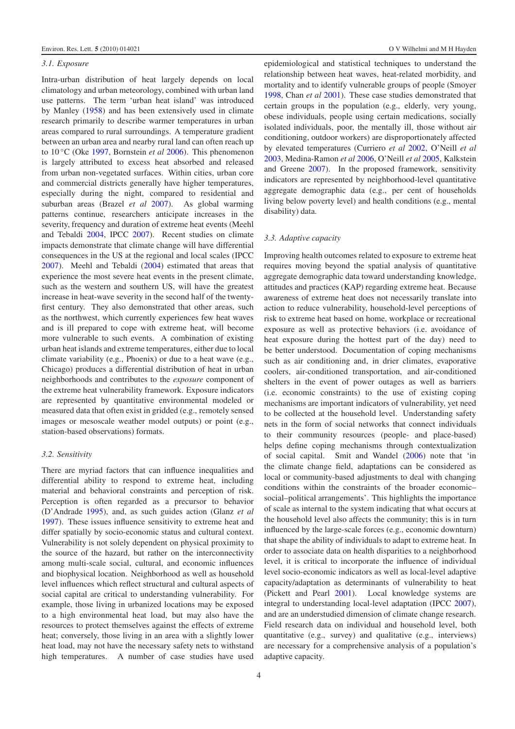#### *3.1. Exposure*

Intra-urban distribution of heat largely depends on local climatology and urban meteorology, combined with urban land use patterns. The term 'urban heat island' was introduced by Manley [\(1958\)](#page-6-26) and has been extensively used in climate research primarily to describe warmer temperatures in urban areas compared to rural surroundings. A temperature gradient between an urban area and nearby rural land can often reach up to 10 ◦C (Oke [1997,](#page-6-27) Bornstein *et al* [2006\)](#page-6-28). This phenomenon is largely attributed to excess heat absorbed and released from urban non-vegetated surfaces. Within cities, urban core and commercial districts generally have higher temperatures, especially during the night, compared to residential and suburban areas (Brazel *et al* [2007\)](#page-6-29). As global warming patterns continue, researchers anticipate increases in the severity, frequency and duration of extreme heat events (Meehl and Tebaldi [2004,](#page-6-3) IPCC [2007\)](#page-6-4). Recent studies on climate impacts demonstrate that climate change will have differential consequences in the US at the regional and local scales (IPCC [2007\)](#page-6-4). Meehl and Tebaldi [\(2004\)](#page-6-3) estimated that areas that experience the most severe heat events in the present climate, such as the western and southern US, will have the greatest increase in heat-wave severity in the second half of the twentyfirst century. They also demonstrated that other areas, such as the northwest, which currently experiences few heat waves and is ill prepared to cope with extreme heat, will become more vulnerable to such events. A combination of existing urban heat islands and extreme temperatures, either due to local climate variability (e.g., Phoenix) or due to a heat wave (e.g., Chicago) produces a differential distribution of heat in urban neighborhoods and contributes to the *exposure* component of the extreme heat vulnerability framework. Exposure indicators are represented by quantitative environmental modeled or measured data that often exist in gridded (e.g., remotely sensed images or mesoscale weather model outputs) or point (e.g., station-based observations) formats.

#### *3.2. Sensitivity*

There are myriad factors that can influence inequalities and differential ability to respond to extreme heat, including material and behavioral constraints and perception of risk. Perception is often regarded as a precursor to behavior (D'Andrade [1995\)](#page-6-30), and, as such guides action (Glanz *et al* [1997\)](#page-6-31). These issues influence sensitivity to extreme heat and differ spatially by socio-economic status and cultural context. Vulnerability is not solely dependent on physical proximity to the source of the hazard, but rather on the interconnectivity among multi-scale social, cultural, and economic influences and biophysical location. Neighborhood as well as household level influences which reflect structural and cultural aspects of social capital are critical to understanding vulnerability. For example, those living in urbanized locations may be exposed to a high environmental heat load, but may also have the resources to protect themselves against the effects of extreme heat; conversely, those living in an area with a slightly lower heat load, may not have the necessary safety nets to withstand high temperatures. A number of case studies have used

epidemiological and statistical techniques to understand the relationship between heat waves, heat-related morbidity, and mortality and to identify vulnerable groups of people (Smoyer [1998,](#page-7-6) Chan *et al* [2001\)](#page-6-19). These case studies demonstrated that certain groups in the population (e.g., elderly, very young, obese individuals, people using certain medications, socially isolated individuals, poor, the mentally ill, those without air conditioning, outdoor workers) are disproportionately affected by elevated temperatures (Curriero *et al* [2002,](#page-6-32) O'Neill *et al* [2003,](#page-6-8) Medina-Ramon *et al* [2006,](#page-6-33) O'Neill *et al* [2005,](#page-6-34) Kalkstein and Greene [2007\)](#page-6-35). In the proposed framework, sensitivity indicators are represented by neighborhood-level quantitative aggregate demographic data (e.g., per cent of households living below poverty level) and health conditions (e.g., mental disability) data.

#### *3.3. Adaptive capacity*

Improving health outcomes related to exposure to extreme heat requires moving beyond the spatial analysis of quantitative aggregate demographic data toward understanding knowledge, attitudes and practices (KAP) regarding extreme heat. Because awareness of extreme heat does not necessarily translate into action to reduce vulnerability, household-level perceptions of risk to extreme heat based on home, workplace or recreational exposure as well as protective behaviors (i.e. avoidance of heat exposure during the hottest part of the day) need to be better understood. Documentation of coping mechanisms such as air conditioning and, in drier climates, evaporative coolers, air-conditioned transportation, and air-conditioned shelters in the event of power outages as well as barriers (i.e. economic constraints) to the use of existing coping mechanisms are important indicators of vulnerability, yet need to be collected at the household level. Understanding safety nets in the form of social networks that connect individuals to their community resources (people- and place-based) helps define coping mechanisms through contextualization of social capital. Smit and Wandel [\(2006\)](#page-7-16) note that 'in the climate change field, adaptations can be considered as local or community-based adjustments to deal with changing conditions within the constraints of the broader economic– social–political arrangements'. This highlights the importance of scale as internal to the system indicating that what occurs at the household level also affects the community; this is in turn influenced by the large-scale forces (e.g., economic downturn) that shape the ability of individuals to adapt to extreme heat. In order to associate data on health disparities to a neighborhood level, it is critical to incorporate the influence of individual level socio-economic indicators as well as local-level adaptive capacity/adaptation as determinants of vulnerability to heat (Pickett and Pearl [2001\)](#page-7-17). Local knowledge systems are integral to understanding local-level adaptation (IPCC [2007\)](#page-6-4), and are an understudied dimension of climate change research. Field research data on individual and household level, both quantitative (e.g., survey) and qualitative (e.g., interviews) are necessary for a comprehensive analysis of a population's adaptive capacity.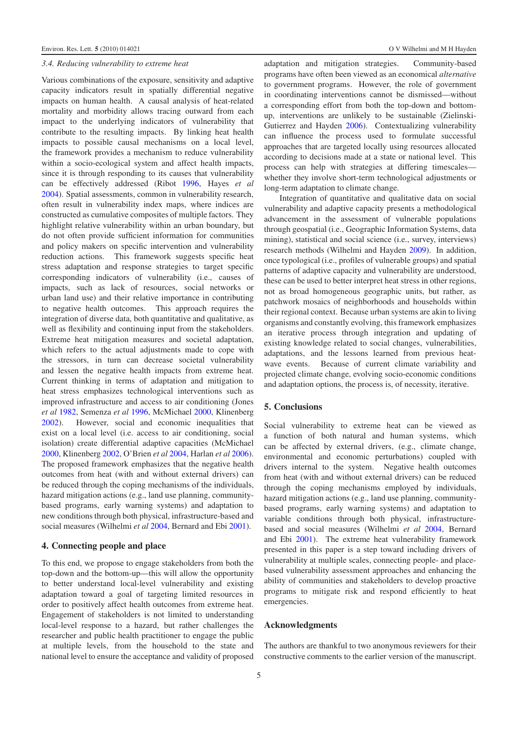#### *3.4. Reducing vulnerability to extreme heat*

Various combinations of the exposure, sensitivity and adaptive capacity indicators result in spatially differential negative impacts on human health. A causal analysis of heat-related mortality and morbidity allows tracing outward from each impact to the underlying indicators of vulnerability that contribute to the resulting impacts. By linking heat health impacts to possible causal mechanisms on a local level, the framework provides a mechanism to reduce vulnerability within a socio-ecological system and affect health impacts, since it is through responding to its causes that vulnerability can be effectively addressed (Ribot [1996,](#page-7-18) Hayes *et al* [2004\)](#page-6-36). Spatial assessments, common in vulnerability research, often result in vulnerability index maps, where indices are constructed as cumulative composites of multiple factors. They highlight relative vulnerability within an urban boundary, but do not often provide sufficient information for communities and policy makers on specific intervention and vulnerability reduction actions. This framework suggests specific heat stress adaptation and response strategies to target specific corresponding indicators of vulnerability (i.e., causes of impacts, such as lack of resources, social networks or urban land use) and their relative importance in contributing to negative health outcomes. This approach requires the integration of diverse data, both quantitative and qualitative, as well as flexibility and continuing input from the stakeholders. Extreme heat mitigation measures and societal adaptation, which refers to the actual adjustments made to cope with the stressors, in turn can decrease societal vulnerability and lessen the negative health impacts from extreme heat. Current thinking in terms of adaptation and mitigation to heat stress emphasizes technological interventions such as improved infrastructure and access to air conditioning (Jones *et al* [1982,](#page-6-37) Semenza *et al* [1996,](#page-7-1) McMichael [2000,](#page-6-13) Klinenberg [2002\)](#page-6-12). However, social and economic inequalities that exist on a local level (i.e. access to air conditioning, social isolation) create differential adaptive capacities (McMichael [2000,](#page-6-13) Klinenberg [2002,](#page-6-12) O'Brien *et al* [2004,](#page-6-10) Harlan *et al* [2006\)](#page-6-11). The proposed framework emphasizes that the negative health outcomes from heat (with and without external drivers) can be reduced through the coping mechanisms of the individuals, hazard mitigation actions (e.g., land use planning, communitybased programs, early warning systems) and adaptation to new conditions through both physical, infrastructure-based and social measures (Wilhelmi *et al* [2004,](#page-7-10) Bernard and Ebi [2001\)](#page-6-38).

#### 4. Connecting people and place

To this end, we propose to engage stakeholders from both the top-down and the bottom-up—this will allow the opportunity to better understand local-level vulnerability and existing adaptation toward a goal of targeting limited resources in order to positively affect health outcomes from extreme heat. Engagement of stakeholders is not limited to understanding local-level response to a hazard, but rather challenges the researcher and public health practitioner to engage the public at multiple levels, from the household to the state and national level to ensure the acceptance and validity of proposed adaptation and mitigation strategies. Community-based programs have often been viewed as an economical *alternative* to government programs. However, the role of government in coordinating interventions cannot be dismissed—without a corresponding effort from both the top-down and bottomup, interventions are unlikely to be sustainable (Zielinski-Gutierrez and Hayden [2006\)](#page-7-19). Contextualizing vulnerability can influence the process used to formulate successful approaches that are targeted locally using resources allocated according to decisions made at a state or national level. This process can help with strategies at differing timescales whether they involve short-term technological adjustments or long-term adaptation to climate change.

Integration of quantitative and qualitative data on social vulnerability and adaptive capacity presents a methodological advancement in the assessment of vulnerable populations through geospatial (i.e., Geographic Information Systems, data mining), statistical and social science (i.e., survey, interviews) research methods (Wilhelmi and Hayden [2009\)](#page-7-13). In addition, once typological (i.e., profiles of vulnerable groups) and spatial patterns of adaptive capacity and vulnerability are understood, these can be used to better interpret heat stress in other regions, not as broad homogeneous geographic units, but rather, as patchwork mosaics of neighborhoods and households within their regional context. Because urban systems are akin to living organisms and constantly evolving, this framework emphasizes an iterative process through integration and updating of existing knowledge related to social changes, vulnerabilities, adaptations, and the lessons learned from previous heatwave events. Because of current climate variability and projected climate change, evolving socio-economic conditions and adaptation options, the process is, of necessity, iterative.

#### 5. Conclusions

Social vulnerability to extreme heat can be viewed as a function of both natural and human systems, which can be affected by external drivers, (e.g., climate change, environmental and economic perturbations) coupled with drivers internal to the system. Negative health outcomes from heat (with and without external drivers) can be reduced through the coping mechanisms employed by individuals, hazard mitigation actions (e.g., land use planning, communitybased programs, early warning systems) and adaptation to variable conditions through both physical, infrastructurebased and social measures (Wilhelmi *et al* [2004,](#page-7-10) Bernard and Ebi [2001\)](#page-6-38). The extreme heat vulnerability framework presented in this paper is a step toward including drivers of vulnerability at multiple scales, connecting people- and placebased vulnerability assessment approaches and enhancing the ability of communities and stakeholders to develop proactive programs to mitigate risk and respond efficiently to heat emergencies.

#### Acknowledgments

The authors are thankful to two anonymous reviewers for their constructive comments to the earlier version of the manuscript.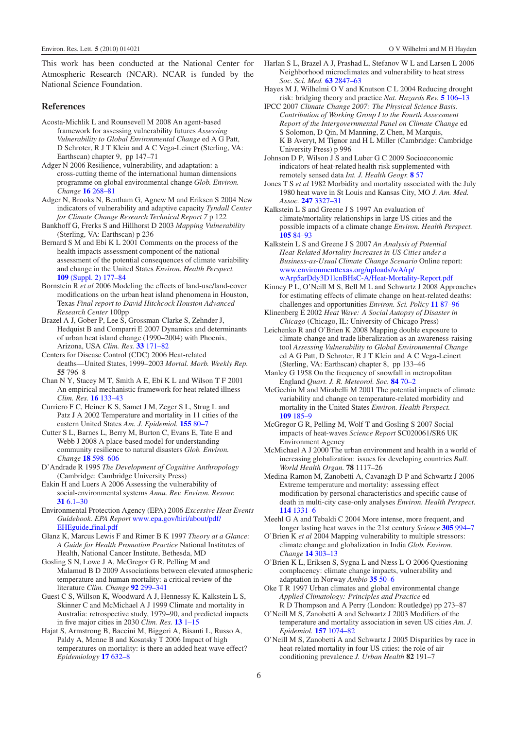<span id="page-6-25"></span>This work has been conducted at the National Center for Atmospheric Research (NCAR). NCAR is funded by the National Science Foundation.

#### <span id="page-6-22"></span>References

- <span id="page-6-21"></span>Acosta-Michlik L and Rounsevell M 2008 An agent-based framework for assessing vulnerability futures *Assessing Vulnerability to Global Environmental Change* ed A G Patt, D Schroter, R J T Klein and A C Vega-Leinert (Sterling, VA: Earthscan) chapter 9, pp 147–71
- <span id="page-6-38"></span><span id="page-6-14"></span>Adger N 2006 Resilience, vulnerability, and adaptation: a cross-cutting theme of the international human dimensions programme on global environmental change *Glob. Environ. Change* 16 [268–81](http://dx.doi.org/10.1016/j.gloenvcha.2006.02.006)
- Adger N, Brooks N, Bentham G, Agnew M and Eriksen S 2004 New indicators of vulnerability and adaptive capacity *Tyndall Center for Climate Change Research Technical Report 7* p 122
- <span id="page-6-28"></span>Bankhoff G, Frerks S and Hillhorst D 2003 *Mapping Vulnerability* (Sterling, VA: Earthscan) p 236
- <span id="page-6-29"></span>Bernard S M and Ebi K L 2001 Comments on the process of the health impacts assessment component of the national assessment of the potential consequences of climate variability and change in the United States *Environ. Health Perspect.* 109 [\(Suppl. 2\) 177–84](http://dx.doi.org/10.2307/3435007)
- <span id="page-6-1"></span>Bornstein R *et al* 2006 Modeling the effects of land-use/land-cover modifications on the urban heat island phenomena in Houston, Texas *Final report to David Hitchcock Houston Advanced Research Center* 100pp
- <span id="page-6-19"></span>Brazel A J, Gober P, Lee S, Grossman-Clarke S, Zehnder J, Hedquist B and Comparri E 2007 Dynamics and determinants of urban heat island change (1990–2004) with Phoenix, Arizona, USA *Clim. Res.* 33 [171–82](http://dx.doi.org/10.3354/cr033171)
- <span id="page-6-32"></span>Centers for Disease Control (CDC) 2006 Heat-related deaths—United States, 1999–2003 *Mortal. Morb. Weekly Rep.* 55 796–8
- <span id="page-6-23"></span>Chan N Y, Stacey M T, Smith A E, Ebi K L and Wilson T F 2001 An empirical mechanistic framework for heat related illness *Clim. Res.* 16 [133–43](http://dx.doi.org/10.3354/cr016133)
- <span id="page-6-30"></span>Curriero F C, Heiner K S, Samet J M, Zeger S L, Strug L and Patz J A 2002 Temperature and mortality in 11 cities of the eastern United States *Am. J. Epidemiol.* 155 [80–7](http://dx.doi.org/10.1093/aje/155.1.80)
- <span id="page-6-15"></span><span id="page-6-6"></span>Cutter S L, Barnes L, Berry M, Burton C, Evans E, Tate E and Webb J 2008 A place-based model for understanding community resilience to natural disasters *Glob. Environ. Change* 18 [598–606](http://dx.doi.org/10.1016/j.gloenvcha.2008.07.013)
- <span id="page-6-31"></span>D'Andrade R 1995 *The Development of Cognitive Anthropology* (Cambridge: Cambridge University Press)
- Eakin H and Luers A 2006 Assessing the vulnerability of social-environmental systems *Annu. Rev. Environ. Resour.* 31 [6.1–30](http://dx.doi.org/10.1146/annurev.energy.30.050504.144352)
- <span id="page-6-17"></span>Environmental Protection Agency (EPA) 2006 *Excessive Heat Events Guidebook. EPA Report* [www.epa.gov/hiri/about/pdf/](http://www.epa.gov/hiri/about/pdf/EHEguide_final.pdf) [EHEguide](http://www.epa.gov/hiri/about/pdf/EHEguide_final.pdf) [final.pdf](http://www.epa.gov/hiri/about/pdf/EHEguide_final.pdf)
- <span id="page-6-18"></span>Glanz K, Marcus Lewis F and Rimer B K 1997 *Theory at a Glance: A Guide for Health Promotion Practice* National Institutes of Health, National Cancer Institute, Bethesda, MD
- <span id="page-6-5"></span>Gosling S N, Lowe J A, McGregor G R, Pelling M and Malamud B D 2009 Associations between elevated atmospheric temperature and human mortality: a critical review of the literature *Clim. Change* 92 [299–341](http://dx.doi.org/10.1007/s10584-008-9441-x)
- Guest C S, Willson K, Woodward A J, Hennessy K, Kalkstein L S, Skinner C and McMichael A J 1999 Climate and mortality in Australia: retrospective study, 1979–90, and predicted impacts in five major cities in 2030 *Clim. Res.* 13 [1–15](http://dx.doi.org/10.3354/cr013001)
- Hajat S, Armstrong B, Baccini M, Biggeri A, Bisanti L, Russo A, Paldy A, Menne B and Kosatsky T 2006 Impact of high temperatures on mortality: is there an added heat wave effect? *Epidemiology* 17 [632–8](http://dx.doi.org/10.1097/01.ede.0000239688.70829.63)
- <span id="page-6-36"></span><span id="page-6-11"></span><span id="page-6-4"></span>Harlan S L, Brazel A J, Prashad L, Stefanov W L and Larsen L 2006 Neighborhood microclimates and vulnerability to heat stress *Soc. Sci. Med.* 63 [2847–63](http://dx.doi.org/10.1016/j.socscimed.2006.07.030)
- <span id="page-6-9"></span>Hayes M J, Wilhelmi O V and Knutson C L 2004 Reducing drought risk: bridging theory and practice *Nat. Hazards Rev.* 5 [106–13](http://dx.doi.org/10.1061/(ASCE)1527-6988(2004)5:2(106))
- <span id="page-6-37"></span>IPCC 2007 *Climate Change 2007: The Physical Science Basis. Contribution of Working Group I to the Fourth Assessment Report of the Intergovernmental Panel on Climate Change* ed S Solomon, D Qin, M Manning, Z Chen, M Marquis, K B Averyt, M Tignor and H L Miller (Cambridge: Cambridge University Press) p 996
- <span id="page-6-0"></span>Johnson D P, Wilson J S and Luber G C 2009 Socioeconomic indicators of heat-related health risk supplemented with remotely sensed data *Int. J. Health Geogr.* 8 [57](http://dx.doi.org/10.1186/1476-072X-8-57)
- <span id="page-6-35"></span>Jones T S *et al* 1982 Morbidity and mortality associated with the July 1980 heat wave in St Louis and Kansas City, MO *J. Am. Med. Assoc.* 247 [3327–31](http://dx.doi.org/10.1001/jama.247.24.3327)
- <span id="page-6-16"></span>Kalkstein L S and Greene J S 1997 An evaluation of climate/mortality relationships in large US cities and the possible impacts of a climate change *Environ. Health Perspect.* 105 [84–93](http://dx.doi.org/10.2307/3433067)
- <span id="page-6-12"></span>Kalkstein L S and Greene J S 2007 *An Analysis of Potential Heat-Related Mortality Increases in US Cities under a Business-as-Usual Climate Change Scenario* Online report: [www.environmenttexas.org/uploads/wA/rp/](http://www.environmenttexas.org/uploads/wA/rp/wArp5arDdy3D1lcnBHsC-A/Heat-Mortality-Report.pdf) [wArp5arDdy3D1lcnBHsC-A/Heat-Mortality-Report.pdf](http://www.environmenttexas.org/uploads/wA/rp/wArp5arDdy3D1lcnBHsC-A/Heat-Mortality-Report.pdf)
- <span id="page-6-24"></span>Kinney P L, O'Neill M S, Bell M L and Schwartz J 2008 Approaches for estimating effects of climate change on heat-related deaths: challenges and opportunities *Environ. Sci. Policy* 11 [87–96](http://dx.doi.org/10.1016/j.envsci.2007.08.001)
- <span id="page-6-26"></span>Klinenberg E 2002 *Heat Wave: A Social Autopsy of Disaster in Chicago* (Chicago, IL: University of Chicago Press)
- <span id="page-6-7"></span>Leichenko R and O'Brien K 2008 Mapping double exposure to climate change and trade liberalization as an awareness-raising tool *Assessing Vulnerability to Global Environmental Change* ed A G Patt, D Schroter, R J T Klein and A C Vega-Leinert (Sterling, VA: Earthscan) chapter 8, pp 133–46
- <span id="page-6-2"></span>Manley G 1958 On the frequency of snowfall in metropolitan England *Quart. J. R. Meteorol. Soc.* 84 [70–2](http://dx.doi.org/10.1002/qj.49708435910)
- <span id="page-6-13"></span>McGeehin M and Mirabelli M 2001 The potential impacts of climate variability and change on temperature-related morbidity and mortality in the United States *Environ. Health Perspect.* 109 [185–9](http://dx.doi.org/10.2307/3435008)
- <span id="page-6-33"></span>McGregor G R, Pelling M, Wolf T and Gosling S 2007 Social impacts of heat-waves *Science Report* SC020061/SR6 UK Environment Agency
- <span id="page-6-3"></span>McMichael A J 2000 The urban environment and health in a world of increasing globalization: issues for developing countries *Bull. World Health Organ.* 78 1117–26
- <span id="page-6-10"></span>Medina-Ramon M, Zanobetti A, Cavanagh D P and Schwartz J 2006 Extreme temperature and mortality: assessing effect modification by personal characteristics and specific cause of death in multi-city case-only analyses *Environ. Health Perspect.* 114 [1331–6](http://dx.doi.org/10.1289/ehp.9074)
- <span id="page-6-27"></span><span id="page-6-20"></span>Meehl G A and Tebaldi C 2004 More intense, more frequent, and longer lasting heat waves in the 21st century *Science* 305 [994–7](http://dx.doi.org/10.1126/science.1098704)
- O'Brien K *et al* 2004 Mapping vulnerability to multiple stressors: climate change and globalization in India *Glob. Environ. Change* 14 [303–13](http://dx.doi.org/10.1016/j.gloenvcha.2004.01.001)
- <span id="page-6-8"></span>O'Brien K L, Eriksen S, Sygna L and Næss L O 2006 Questioning complacency: climate change impacts, vulnerability and adaptation in Norway *Ambio* 35 [50–6](http://dx.doi.org/10.1579/0044-7447(2006)35[50:QCCCIV]2.0.CO;2)
- <span id="page-6-34"></span>Oke T R 1997 Urban climates and global environmental change *Applied Climatology: Principles and Practice* ed R D Thompson and A Perry (London: Routledge) pp 273–87
- O'Neill M S, Zanobetti A and Schwartz J 2003 Modifiers of the temperature and mortality association in seven US cities *Am. J. Epidemiol.* 157 [1074–82](http://dx.doi.org/10.1093/aje/kwg096)
- O'Neill M S, Zanobetti A and Schwartz J 2005 Disparities by race in heat-related mortality in four US cities: the role of air conditioning prevalence *J. Urban Health* 82 191–7